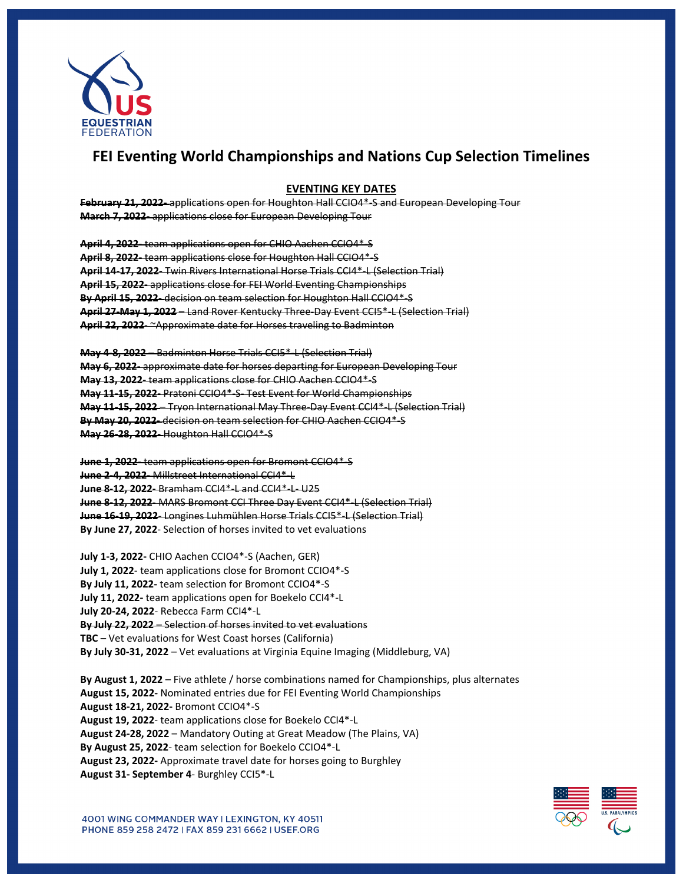

## **FEI Eventing World Championships and Nations Cup Selection Timelines**

## **EVENTING KEY DATES**

**February 21, 2022-** applications open for Houghton Hall CCIO4\*-S and European Developing Tour **March 7, 2022-** applications close for European Developing Tour

**April 4, 2022-** team applications open for CHIO Aachen CCIO4\*-S **April 8, 2022-** team applications close for Houghton Hall CCIO4\*-S **April 14-17, 2022-** Twin Rivers International Horse Trials CCI4\*-L (Selection Trial) **April 15, 2022-** applications close for FEI World Eventing Championships **By April 15, 2022-** decision on team selection for Houghton Hall CCIO4\*-S **April 27-May 1, 2022** – Land Rover Kentucky Three-Day Event CCI5\*-L (Selection Trial) **April 22, 2022**- ~Approximate date for Horses traveling to Badminton

**May 4-8, 2022** – Badminton Horse Trials CCI5\*-L (Selection Trial) **May 6, 2022-** approximate date for horses departing for European Developing Tour **May 13, 2022-** team applications close for CHIO Aachen CCIO4\*-S **May 11-15, 2022-** Pratoni CCIO4\*-S- Test Event for World Championships **May 11-15, 2022** – Tryon International May Three-Day Event CCI4\*-L (Selection Trial) **By May 20, 2022-** decision on team selection for CHIO Aachen CCIO4\*-S **May 26-28, 2022-** Houghton Hall CCIO4\*-S

**June 1, 2022-** team applications open for Bromont CCIO4\*-S **June 2-4, 2022-** Millstreet International CCI4\*-L **June 8-12, 2022-** Bramham CCI4\*-L and CCI4\*-L- U25 **June 8-12, 2022**- MARS Bromont CCI Three Day Event CCI4\*-L (Selection Trial) **June 16-19, 2022**- Longines Luhmühlen Horse Trials CCI5\*-L (Selection Trial) **By June 27, 2022**- Selection of horses invited to vet evaluations

**July 1-3, 2022-** CHIO Aachen CCIO4\*-S (Aachen, GER) **July 1, 2022**- team applications close for Bromont CCIO4\*-S **By July 11, 2022-** team selection for Bromont CCIO4\*-S **July 11, 2022-** team applications open for Boekelo CCI4\*-L **July 20-24, 2022**- Rebecca Farm CCI4\*-L **By July 22, 2022** – Selection of horses invited to vet evaluations **TBC** – Vet evaluations for West Coast horses (California) **By July 30-31, 2022** – Vet evaluations at Virginia Equine Imaging (Middleburg, VA)

**By August 1, 2022** – Five athlete / horse combinations named for Championships, plus alternates **August 15, 2022-** Nominated entries due for FEI Eventing World Championships **August 18-21, 2022-** Bromont CCIO4\*-S **August 19, 2022**- team applications close for Boekelo CCI4\*-L **August 24-28, 2022** – Mandatory Outing at Great Meadow (The Plains, VA) **By August 25, 2022**- team selection for Boekelo CCIO4\*-L **August 23, 2022-** Approximate travel date for horses going to Burghley **August 31- September 4**- Burghley CCI5\*-L